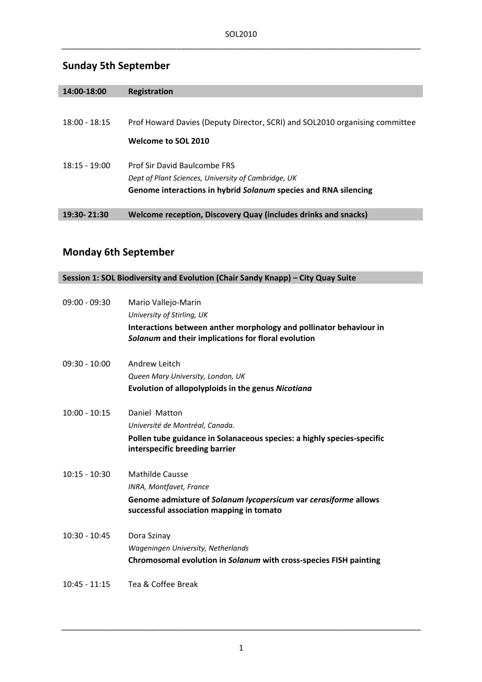# **Sunday 5th September**

| 14:00-18:00     | Registration                                                                |
|-----------------|-----------------------------------------------------------------------------|
|                 |                                                                             |
| $18:00 - 18:15$ | Prof Howard Davies (Deputy Director, SCRI) and SOL2010 organising committee |
|                 | Welcome to SOL 2010                                                         |
| $18:15 - 19:00$ | <b>Prof Sir David Baulcombe FRS</b>                                         |
|                 | Dept of Plant Sciences, University of Cambridge, UK                         |
|                 | Genome interactions in hybrid Solanum species and RNA silencing             |
|                 |                                                                             |
| 19:30-21:30     | <b>Welcome reception, Discovery Quay (includes drinks and snacks)</b>       |

# **Monday 6th September**

| Session 1: SOL Biodiversity and Evolution (Chair Sandy Knapp) - City Quay Suite |                                                                        |  |
|---------------------------------------------------------------------------------|------------------------------------------------------------------------|--|
|                                                                                 |                                                                        |  |
| $09:00 - 09:30$                                                                 | Mario Vallejo-Marin                                                    |  |
|                                                                                 | University of Stirling, UK                                             |  |
|                                                                                 | Interactions between anther morphology and pollinator behaviour in     |  |
|                                                                                 | Solanum and their implications for floral evolution                    |  |
|                                                                                 |                                                                        |  |
| $09:30 - 10:00$                                                                 | Andrew Leitch                                                          |  |
|                                                                                 | Queen Mary University, London, UK                                      |  |
|                                                                                 | Evolution of allopolyploids in the genus Nicotiana                     |  |
|                                                                                 |                                                                        |  |
| $10:00 - 10:15$                                                                 | Daniel Matton                                                          |  |
|                                                                                 | Université de Montréal, Canada.                                        |  |
|                                                                                 | Pollen tube guidance in Solanaceous species: a highly species-specific |  |
|                                                                                 | interspecific breeding barrier                                         |  |
|                                                                                 |                                                                        |  |
| $10:15 - 10:30$                                                                 | Mathilde Causse                                                        |  |
|                                                                                 | INRA, Montfavet, France                                                |  |
|                                                                                 | Genome admixture of Solanum lycopersicum var cerasiforme allows        |  |
|                                                                                 | successful association mapping in tomato                               |  |
|                                                                                 |                                                                        |  |
| $10:30 - 10:45$                                                                 | Dora Szinay                                                            |  |
|                                                                                 | Wageningen University, Netherlands                                     |  |
|                                                                                 | Chromosomal evolution in Solanum with cross-species FISH painting      |  |
|                                                                                 |                                                                        |  |
| $10:45 - 11:15$                                                                 | Tea & Coffee Break                                                     |  |
|                                                                                 |                                                                        |  |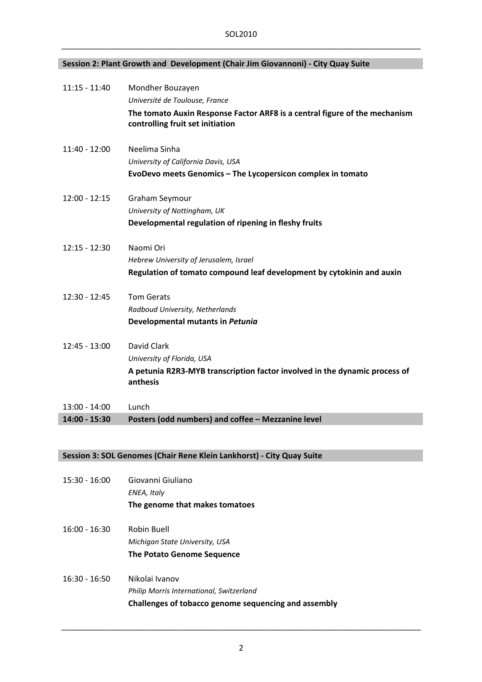### **Session 2: Plant Growth and Development (Chair Jim Giovannoni) ‐ City Quay Suite**

| $11:15 - 11:40$ | Mondher Bouzayen                                                                                               |
|-----------------|----------------------------------------------------------------------------------------------------------------|
|                 | Université de Toulouse, France                                                                                 |
|                 | The tomato Auxin Response Factor ARF8 is a central figure of the mechanism<br>controlling fruit set initiation |
| $11:40 - 12:00$ | Neelima Sinha                                                                                                  |
|                 | University of California Davis, USA                                                                            |
|                 | EvoDevo meets Genomics - The Lycopersicon complex in tomato                                                    |
| $12:00 - 12:15$ | Graham Seymour                                                                                                 |
|                 | University of Nottingham, UK                                                                                   |
|                 | Developmental regulation of ripening in fleshy fruits                                                          |
| $12:15 - 12:30$ | Naomi Ori                                                                                                      |
|                 | Hebrew University of Jerusalem, Israel                                                                         |
|                 | Regulation of tomato compound leaf development by cytokinin and auxin                                          |
| 12:30 - 12:45   | <b>Tom Gerats</b>                                                                                              |
|                 | Radboud University, Netherlands                                                                                |
|                 | Developmental mutants in Petunia                                                                               |
| $12:45 - 13:00$ | David Clark                                                                                                    |
|                 | University of Florida, USA                                                                                     |
|                 | A petunia R2R3-MYB transcription factor involved in the dynamic process of<br>anthesis                         |
| $13:00 - 14:00$ | Lunch                                                                                                          |
| 14:00 - 15:30   | Posters (odd numbers) and coffee - Mezzanine level                                                             |

### **Session 3: SOL Genomes (Chair Rene Klein Lankhorst) ‐ City Quay Suite**

| $15:30 - 16:00$ | Giovanni Giuliano<br>ENEA, Italy                                                                                   |
|-----------------|--------------------------------------------------------------------------------------------------------------------|
|                 | The genome that makes tomatoes                                                                                     |
| $16:00 - 16:30$ | Robin Buell<br>Michigan State University, USA<br>The Potato Genome Sequence                                        |
| $16:30 - 16:50$ | Nikolai Ivanov<br>Philip Morris International, Switzerland<br>Challenges of tobacco genome sequencing and assembly |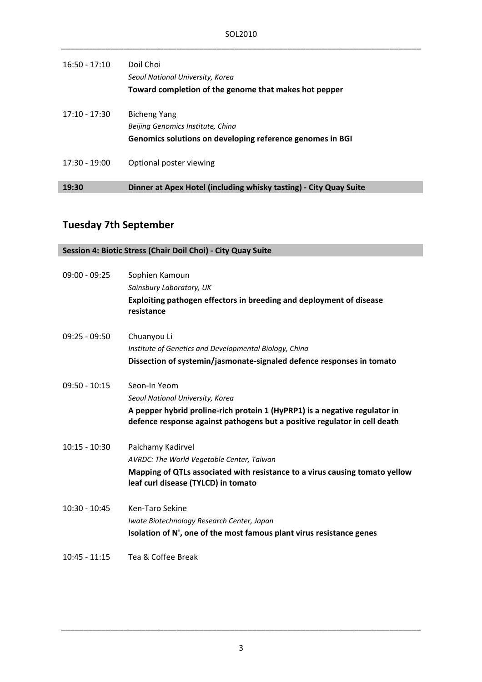| $16:50 - 17:10$ | Doil Choi<br>Seoul National University, Korea<br>Toward completion of the genome that makes hot pepper         |
|-----------------|----------------------------------------------------------------------------------------------------------------|
| $17:10 - 17:30$ | Bicheng Yang<br>Beijing Genomics Institute, China<br>Genomics solutions on developing reference genomes in BGI |
| $17:30 - 19:00$ | Optional poster viewing                                                                                        |
| 19:30           | Dinner at Apex Hotel (including whisky tasting) - City Quay Suite                                              |

## **Tuesday 7th September**

|                 | Session 4: Biotic Stress (Chair Doil Choi) - City Quay Suite                                                                                            |
|-----------------|---------------------------------------------------------------------------------------------------------------------------------------------------------|
|                 |                                                                                                                                                         |
| $09:00 - 09:25$ | Sophien Kamoun                                                                                                                                          |
|                 | Sainsbury Laboratory, UK                                                                                                                                |
|                 | Exploiting pathogen effectors in breeding and deployment of disease<br>resistance                                                                       |
| $09:25 - 09:50$ | Chuanyou Li                                                                                                                                             |
|                 | Institute of Genetics and Developmental Biology, China                                                                                                  |
|                 | Dissection of systemin/jasmonate-signaled defence responses in tomato                                                                                   |
| $09:50 - 10:15$ | Seon-In Yeom                                                                                                                                            |
|                 | Seoul National University, Korea                                                                                                                        |
|                 | A pepper hybrid proline-rich protein 1 (HyPRP1) is a negative regulator in<br>defence response against pathogens but a positive regulator in cell death |
| $10:15 - 10:30$ | Palchamy Kadirvel                                                                                                                                       |
|                 | AVRDC: The World Vegetable Center, Taiwan                                                                                                               |
|                 | Mapping of QTLs associated with resistance to a virus causing tomato yellow<br>leaf curl disease (TYLCD) in tomato                                      |
| $10:30 - 10:45$ | Ken-Taro Sekine                                                                                                                                         |
|                 | Iwate Biotechnology Research Center, Japan                                                                                                              |
|                 | Isolation of N', one of the most famous plant virus resistance genes                                                                                    |
| $10:45 - 11:15$ | Tea & Coffee Break                                                                                                                                      |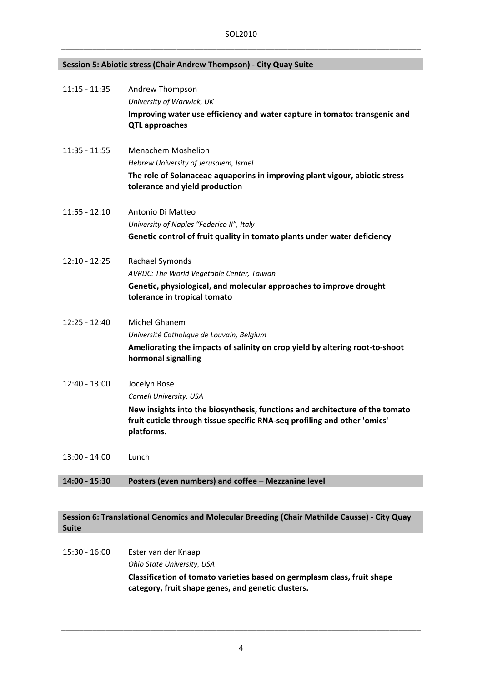#### **Session 5: Abiotic stress (Chair Andrew Thompson) ‐ City Quay Suite**

| 11:15 - 11:35   | Andrew Thompson<br>University of Warwick, UK<br>Improving water use efficiency and water capture in tomato: transgenic and<br><b>QTL approaches</b>                                                                |
|-----------------|--------------------------------------------------------------------------------------------------------------------------------------------------------------------------------------------------------------------|
| $11:35 - 11:55$ | <b>Menachem Moshelion</b><br>Hebrew University of Jerusalem, Israel<br>The role of Solanaceae aquaporins in improving plant vigour, abiotic stress<br>tolerance and yield production                               |
| $11:55 - 12:10$ | Antonio Di Matteo<br>University of Naples "Federico II", Italy<br>Genetic control of fruit quality in tomato plants under water deficiency                                                                         |
| $12:10 - 12:25$ | Rachael Symonds<br>AVRDC: The World Vegetable Center, Taiwan<br>Genetic, physiological, and molecular approaches to improve drought<br>tolerance in tropical tomato                                                |
| $12:25 - 12:40$ | Michel Ghanem<br>Université Catholique de Louvain, Belgium<br>Ameliorating the impacts of salinity on crop yield by altering root-to-shoot<br>hormonal signalling                                                  |
| 12:40 - 13:00   | Jocelyn Rose<br>Cornell University, USA<br>New insights into the biosynthesis, functions and architecture of the tomato<br>fruit cuticle through tissue specific RNA-seq profiling and other 'omics'<br>platforms. |
| $13:00 - 14:00$ | Lunch                                                                                                                                                                                                              |

#### **14:00 ‐ 15:30 Posters (even numbers) and coffee – Mezzanine level**

#### **Session 6: Translational Genomics and Molecular Breeding (Chair Mathilde Causse) ‐ City Quay Suite**

15:30 ‐ 16:00 Ester van der Knaap *Ohio State University, USA*  **Classification of tomato varieties based on germplasm class, fruit shape category, fruit shape genes, and genetic clusters.**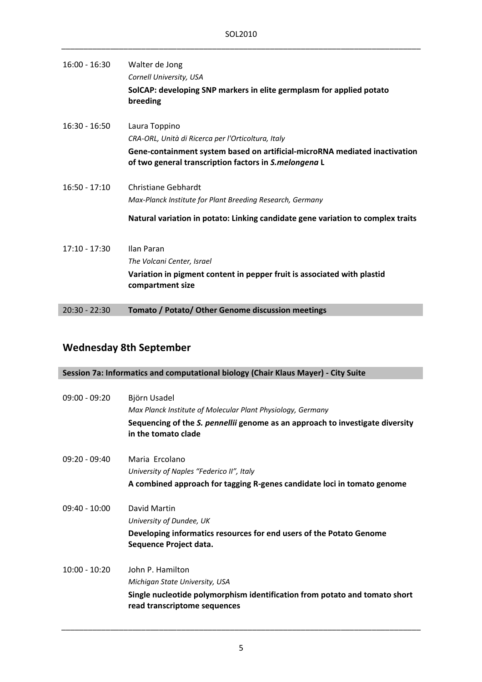| $16:00 - 16:30$ | Walter de Jong                                                                                                                      |
|-----------------|-------------------------------------------------------------------------------------------------------------------------------------|
|                 | Cornell University, USA                                                                                                             |
|                 | SolCAP: developing SNP markers in elite germplasm for applied potato<br>breeding                                                    |
| $16:30 - 16:50$ | Laura Toppino                                                                                                                       |
|                 | CRA-ORL, Unità di Ricerca per l'Orticoltura, Italy                                                                                  |
|                 | Gene-containment system based on artificial-microRNA mediated inactivation<br>of two general transcription factors in S.melongena L |
| $16:50 - 17:10$ | Christiane Gebhardt                                                                                                                 |
|                 | Max-Planck Institute for Plant Breeding Research, Germany                                                                           |
|                 | Natural variation in potato: Linking candidate gene variation to complex traits                                                     |
| $17:10 - 17:30$ | Ilan Paran                                                                                                                          |
|                 | The Volcani Center, Israel                                                                                                          |
|                 | Variation in pigment content in pepper fruit is associated with plastid<br>compartment size                                         |
| $20:30 - 22:30$ | Tomato / Potato/ Other Genome discussion meetings                                                                                   |

## **Wednesday 8th September**

## **Session 7a: Informatics and computational biology (Chair Klaus Mayer) ‐ City Suite**

| $09:00 - 09:20$ | Björn Usadel<br>Max Planck Institute of Molecular Plant Physiology, Germany<br>Sequencing of the S. pennellii genome as an approach to investigate diversity<br>in the tomato clade |
|-----------------|-------------------------------------------------------------------------------------------------------------------------------------------------------------------------------------|
| $09:20 - 09:40$ | Maria Frcolano<br>University of Naples "Federico II", Italy<br>A combined approach for tagging R-genes candidate loci in tomato genome                                              |
| $09:40 - 10:00$ | David Martin<br>University of Dundee, UK<br>Developing informatics resources for end users of the Potato Genome<br>Sequence Project data.                                           |
| $10:00 - 10:20$ | John P. Hamilton<br>Michigan State University, USA<br>Single nucleotide polymorphism identification from potato and tomato short<br>read transcriptome sequences                    |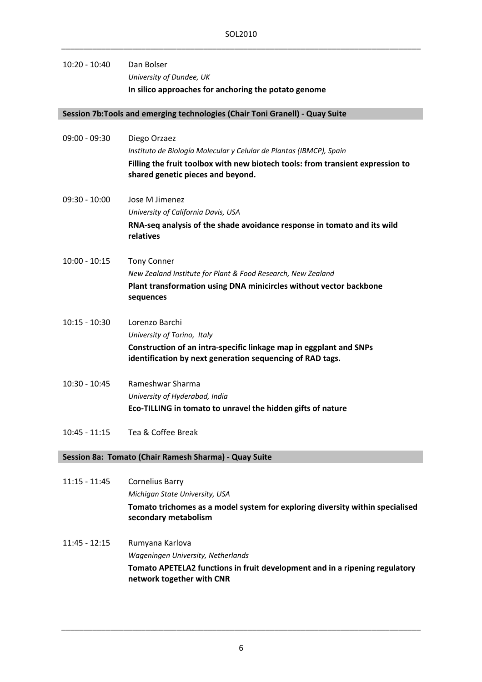### 10:20 ‐ 10:40 Dan Bolser *University of Dundee, UK* **In silico approaches for anchoring the potato genome**

#### **Session 7b:Tools and emerging technologies (Chair Toni Granell) ‐ Quay Suite**

| $09:00 - 09:30$ | Diego Orzaez<br>Instituto de Biología Molecular y Celular de Plantas (IBMCP), Spain                                             |
|-----------------|---------------------------------------------------------------------------------------------------------------------------------|
|                 | Filling the fruit toolbox with new biotech tools: from transient expression to<br>shared genetic pieces and beyond.             |
| $09:30 - 10:00$ | Jose M Jimenez                                                                                                                  |
|                 | University of California Davis, USA                                                                                             |
|                 | RNA-seq analysis of the shade avoidance response in tomato and its wild<br>relatives                                            |
| $10:00 - 10:15$ | <b>Tony Conner</b>                                                                                                              |
|                 | New Zealand Institute for Plant & Food Research, New Zealand                                                                    |
|                 | Plant transformation using DNA minicircles without vector backbone<br>sequences                                                 |
| $10:15 - 10:30$ | Lorenzo Barchi                                                                                                                  |
|                 | University of Torino, Italy                                                                                                     |
|                 | Construction of an intra-specific linkage map in eggplant and SNPs<br>identification by next generation sequencing of RAD tags. |
| $10:30 - 10:45$ | Rameshwar Sharma                                                                                                                |
|                 | University of Hyderabad, India                                                                                                  |
|                 | Eco-TILLING in tomato to unravel the hidden gifts of nature                                                                     |
| $10:45 - 11:15$ | Tea & Coffee Break                                                                                                              |
|                 | Session 8a: Tomato (Chair Ramesh Sharma) - Quay Suite                                                                           |

11:15 ‐ 11:45 Cornelius Barry *Michigan State University, USA* **Tomato trichomes as a model system for exploring diversity within specialised secondary metabolism** 

11:45 ‐ 12:15 Rumyana Karlova *Wageningen University, Netherlands*  **Tomato APETELA2 functions in fruit development and in a ripening regulatory network together with CNR**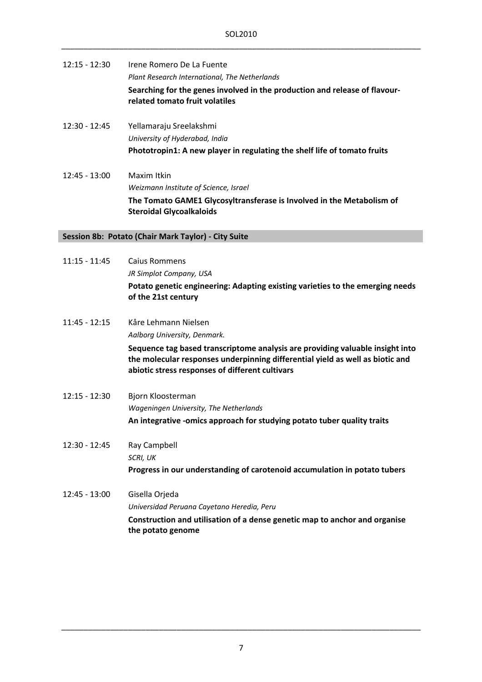| 12:15 - 12:30   | Irene Romero De La Fuente<br>Plant Research International, The Netherlands<br>Searching for the genes involved in the production and release of flavour-<br>related tomato fruit volatiles |
|-----------------|--------------------------------------------------------------------------------------------------------------------------------------------------------------------------------------------|
| $12:30 - 12:45$ | Yellamaraju Sreelakshmi<br>University of Hyderabad, India<br>Phototropin1: A new player in regulating the shelf life of tomato fruits                                                      |
| $12:45 - 13:00$ | Maxim Itkin<br>Weizmann Institute of Science, Israel<br>The Tomato GAME1 Glycosyltransferase is Involved in the Metabolism of<br><b>Steroidal Glycoalkaloids</b>                           |
|                 | Session 8b: Potato (Chair Mark Taylor) - City Suite                                                                                                                                        |
| $11:15 - 11:45$ | <b>Caius Rommens</b><br>JR Simplot Company, USA<br>Potato genetic engineering: Adapting existing varieties to the emerging needs<br>of the 21st century                                    |

| $11:45 - 12:15$ | Kåre Lehmann Nielsen                                                                                                                                           |
|-----------------|----------------------------------------------------------------------------------------------------------------------------------------------------------------|
|                 | Aalborg University, Denmark.                                                                                                                                   |
|                 | Sequence tag based transcriptome analysis are providing valuable insight into<br>the molecular responses underpinning differential yield as well as biotic and |
|                 | abiotic stress responses of different cultivars                                                                                                                |

- 12:15 ‐ 12:30 Bjorn Kloosterman *Wageningen University, The Netherlands* **An integrative ‐omics approach for studying potato tuber quality traits**
- 12:30 ‐ 12:45 Ray Campbell *SCRI, UK* **Progress in our understanding of carotenoid accumulation in potato tubers**
- 12:45 ‐ 13:00 Gisella Orjeda *Universidad Peruana Cayetano Heredia, Peru* **Construction and utilisation of a dense genetic map to anchor and organise the potato genome**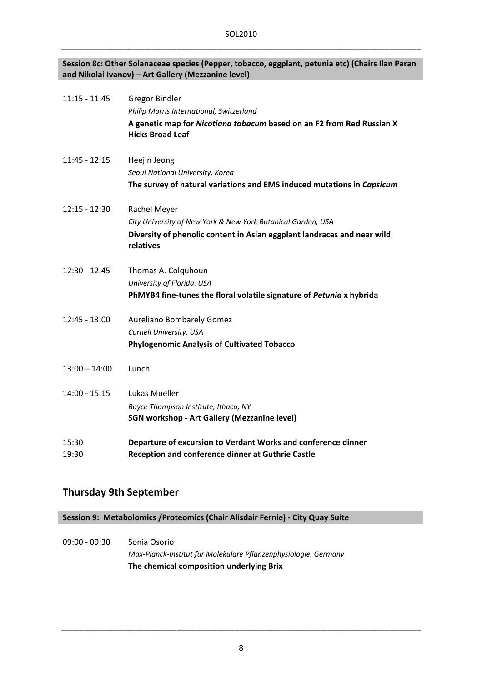#### **Session 8c: Other Solanaceae species (Pepper, tobacco, eggplant, petunia etc) (Chairs Ilan Paran and Nikolai Ivanov) – Art Gallery (Mezzanine level)**

| $11:15 - 11:45$ | <b>Gregor Bindler</b><br>Philip Morris International, Switzerland<br>A genetic map for Nicotiana tabacum based on an F2 from Red Russian X<br><b>Hicks Broad Leaf</b> |
|-----------------|-----------------------------------------------------------------------------------------------------------------------------------------------------------------------|
| $11:45 - 12:15$ | Heejin Jeong<br>Seoul National University, Korea<br>The survey of natural variations and EMS induced mutations in Capsicum                                            |
| $12:15 - 12:30$ | Rachel Meyer<br>City University of New York & New York Botanical Garden, USA<br>Diversity of phenolic content in Asian eggplant landraces and near wild<br>relatives  |
| $12:30 - 12:45$ | Thomas A. Colquhoun<br>University of Florida, USA<br>PhMYB4 fine-tunes the floral volatile signature of Petunia x hybrida                                             |
| $12:45 - 13:00$ | <b>Aureliano Bombarely Gomez</b><br>Cornell University, USA<br><b>Phylogenomic Analysis of Cultivated Tobacco</b>                                                     |
| $13:00 - 14:00$ | Lunch                                                                                                                                                                 |
| $14:00 - 15:15$ | Lukas Mueller<br>Boyce Thompson Institute, Ithaca, NY<br>SGN workshop - Art Gallery (Mezzanine level)                                                                 |
| 15:30<br>19:30  | Departure of excursion to Verdant Works and conference dinner<br><b>Reception and conference dinner at Guthrie Castle</b>                                             |
|                 |                                                                                                                                                                       |

### **Thursday 9th September**

**Session 9: Metabolomics /Proteomics (Chair Alisdair Fernie) ‐ City Quay Suite**

09:00 ‐ 09:30 Sonia Osorio *Max‐Planck‐Institut fur Molekulare Pflanzenphysiologie, Germany* **The chemical composition underlying Brix**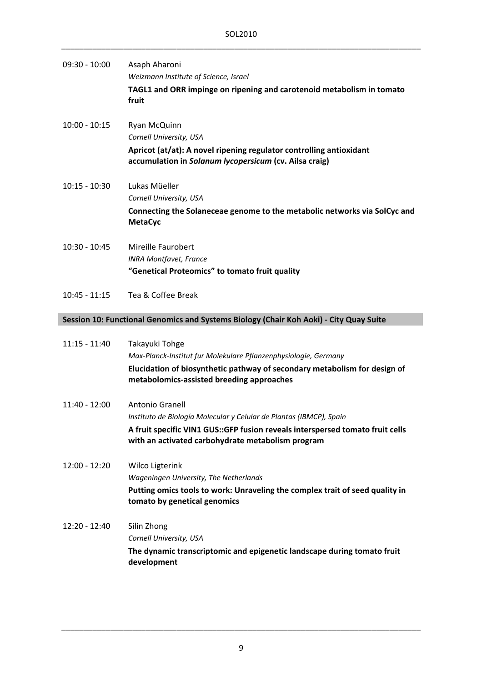| $09:30 - 10:00$                                                                        | Asaph Aharoni<br>Weizmann Institute of Science, Israel<br>TAGL1 and ORR impinge on ripening and carotenoid metabolism in tomato<br>fruit                                                                                      |  |
|----------------------------------------------------------------------------------------|-------------------------------------------------------------------------------------------------------------------------------------------------------------------------------------------------------------------------------|--|
| $10:00 - 10:15$                                                                        | Ryan McQuinn<br>Cornell University, USA<br>Apricot (at/at): A novel ripening regulator controlling antioxidant<br>accumulation in Solanum lycopersicum (cv. Ailsa craig)                                                      |  |
| $10:15 - 10:30$                                                                        | Lukas Müeller<br>Cornell University, USA<br>Connecting the Solaneceae genome to the metabolic networks via SolCyc and<br><b>MetaCyc</b>                                                                                       |  |
| $10:30 - 10:45$                                                                        | Mireille Faurobert<br><b>INRA Montfavet, France</b><br>"Genetical Proteomics" to tomato fruit quality                                                                                                                         |  |
| $10:45 - 11:15$                                                                        | Tea & Coffee Break                                                                                                                                                                                                            |  |
| Session 10: Functional Genomics and Systems Biology (Chair Koh Aoki) - City Quay Suite |                                                                                                                                                                                                                               |  |
| $11:15 - 11:40$                                                                        | Takayuki Tohge<br>Max-Planck-Institut fur Molekulare Pflanzenphysiologie, Germany<br>Elucidation of biosynthetic pathway of secondary metabolism for design of<br>metabolomics-assisted breeding approaches                   |  |
| $11:40 - 12:00$                                                                        | Antonio Granell<br>Instituto de Biología Molecular y Celular de Plantas (IBMCP), Spain<br>A fruit specific VIN1 GUS:: GFP fusion reveals interspersed tomato fruit cells<br>with an activated carbohydrate metabolism program |  |
| $12:00 - 12:20$                                                                        | <b>Wilco Ligterink</b><br>Wageningen University, The Netherlands<br>Putting omics tools to work: Unraveling the complex trait of seed quality in<br>tomato by genetical genomics                                              |  |
| 12:20 - 12:40                                                                          | Silin Zhong<br>Cornell University, USA<br>The dynamic transcriptomic and epigenetic landscape during tomato fruit<br>development                                                                                              |  |